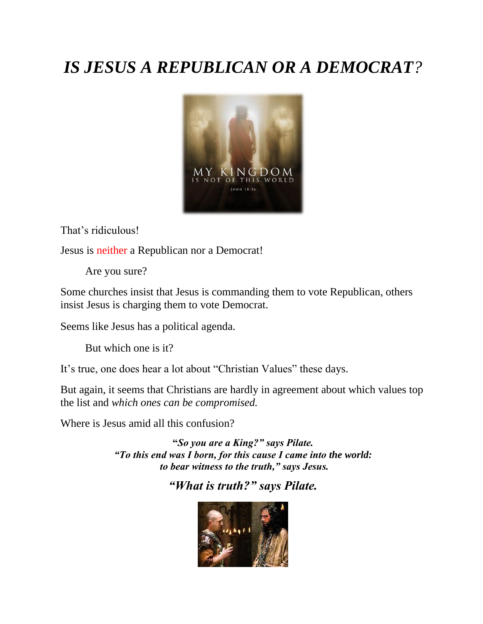# *IS JESUS A REPUBLICAN OR A DEMOCRAT?*



That's ridiculous!

Jesus is neither a Republican nor a Democrat!

Are you sure?

Some churches insist that Jesus is commanding them to vote Republican, others insist Jesus is charging them to vote Democrat.

Seems like Jesus has a political agenda.

But which one is it?

It's true, one does hear a lot about "Christian Values" these days.

But again, it seems that Christians are hardly in agreement about which values top the list and *which ones can be compromised.*

Where is Jesus amid all this confusion?

**"***So you are a King?" says Pilate. "To this end was I born, for this cause I came into the world: to bear witness to the truth," says Jesus.*

### *"What is truth?" says Pilate.*

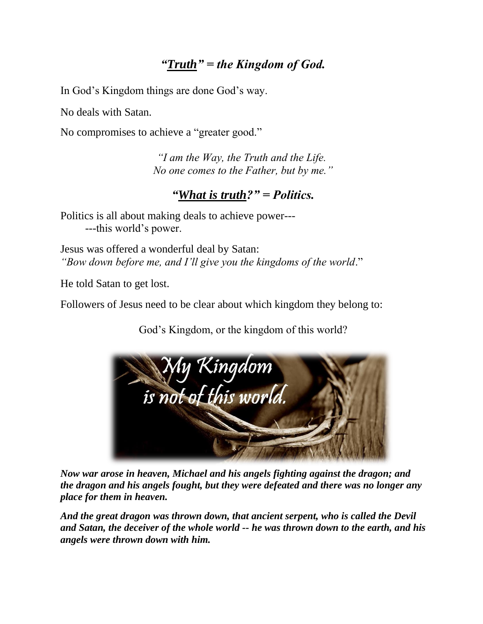## *"Truth" = the Kingdom of God.*

In God's Kingdom things are done God's way.

No deals with Satan.

No compromises to achieve a "greater good."

*"I am the Way, the Truth and the Life. No one comes to the Father, but by me."*

#### *"What is truth?" = Politics.*

Politics is all about making deals to achieve power--- ---this world's power.

Jesus was offered a wonderful deal by Satan: *"Bow down before me, and I'll give you the kingdoms of the world*."

He told Satan to get lost.

Followers of Jesus need to be clear about which kingdom they belong to:

God's Kingdom, or the kingdom of this world?



*Now war arose in heaven, Michael and his angels fighting against the dragon; and the dragon and his angels fought, but they were defeated and there was no longer any place for them in heaven.*

*And the great dragon was thrown down, that ancient serpent, who is called the Devil and Satan, the deceiver of the whole world -- he was thrown down to the earth, and his angels were thrown down with him.*